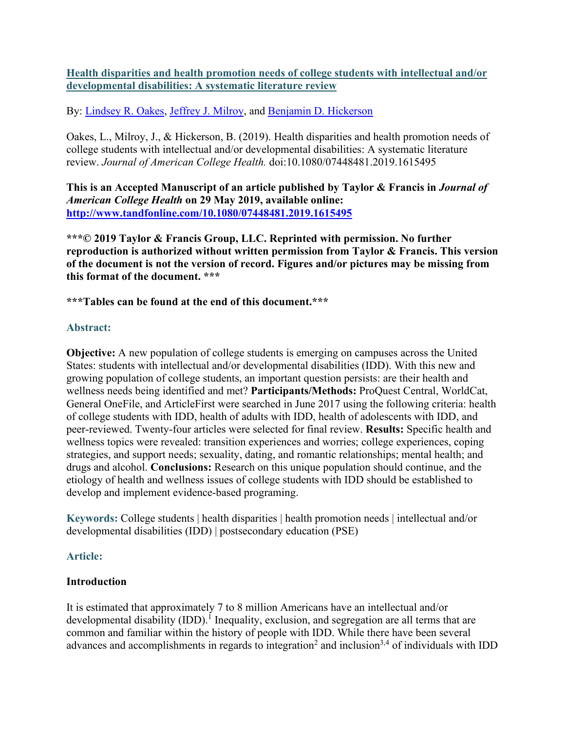## **Health disparities and health promotion needs of college students with intellectual and/or developmental disabilities: A systematic literature review**

By: [Lindsey R. Oakes,](https://libres.uncg.edu/ir/uncg/clist.aspx?id=20676) [Jeffrey J. Milroy,](http://libres.uncg.edu/ir/uncg/clist.aspx?id=3837) and [Benjamin D. Hickerson](http://libres.uncg.edu/ir/uncg/clist.aspx?id=10030)

Oakes, L., Milroy, J., & Hickerson, B. (2019). Health disparities and health promotion needs of college students with intellectual and/or developmental disabilities: A systematic literature review. *Journal of American College Health.* doi:10.1080/07448481.2019.1615495

**This is an Accepted Manuscript of an article published by Taylor & Francis in** *Journal of American College Health* **on 29 May 2019, available online: <http://www.tandfonline.com/10.1080/07448481.2019.1615495>**

**\*\*\*© 2019 Taylor & Francis Group, LLC. Reprinted with permission. No further reproduction is authorized without written permission from Taylor & Francis. This version of the document is not the version of record. Figures and/or pictures may be missing from this format of the document. \*\*\***

**\*\*\*Tables can be found at the end of this document.\*\*\***

#### **Abstract:**

**Objective:** A new population of college students is emerging on campuses across the United States: students with intellectual and/or developmental disabilities (IDD). With this new and growing population of college students, an important question persists: are their health and wellness needs being identified and met? **Participants/Methods:** ProQuest Central, WorldCat, General OneFile, and ArticleFirst were searched in June 2017 using the following criteria: health of college students with IDD, health of adults with IDD, health of adolescents with IDD, and peer-reviewed. Twenty-four articles were selected for final review. **Results:** Specific health and wellness topics were revealed: transition experiences and worries; college experiences, coping strategies, and support needs; sexuality, dating, and romantic relationships; mental health; and drugs and alcohol. **Conclusions:** Research on this unique population should continue, and the etiology of health and wellness issues of college students with IDD should be established to develop and implement evidence-based programing.

**Keywords:** College students | health disparities | health promotion needs | intellectual and/or developmental disabilities (IDD) | postsecondary education (PSE)

#### **Article:**

#### **Introduction**

It is estimated that approximately 7 to 8 million Americans have an intellectual and/or developmental disability (IDD).<sup>1</sup> Inequality, exclusion, and segregation are all terms that are common and familiar within the history of people with IDD. While there have been several advances and accomplishments in regards to integration<sup>2</sup> and inclusion<sup>3,4</sup> of individuals with IDD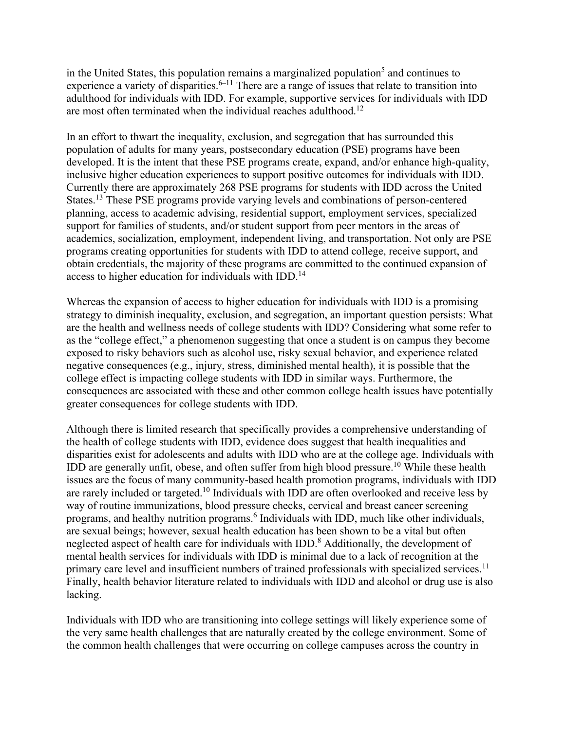in the United States, this population remains a marginalized population<sup>5</sup> and continues to experience a variety of disparities.<sup>6–11</sup> There are a range of issues that relate to transition into adulthood for individuals with IDD. For example, supportive services for individuals with IDD are most often terminated when the individual reaches adulthood.12

In an effort to thwart the inequality, exclusion, and segregation that has surrounded this population of adults for many years, postsecondary education (PSE) programs have been developed. It is the intent that these PSE programs create, expand, and/or enhance high-quality, inclusive higher education experiences to support positive outcomes for individuals with IDD. Currently there are approximately 268 PSE programs for students with IDD across the United States.<sup>13</sup> These PSE programs provide varying levels and combinations of person-centered planning, access to academic advising, residential support, employment services, specialized support for families of students, and/or student support from peer mentors in the areas of academics, socialization, employment, independent living, and transportation. Not only are PSE programs creating opportunities for students with IDD to attend college, receive support, and obtain credentials, the majority of these programs are committed to the continued expansion of access to higher education for individuals with  $IDD<sup>14</sup>$ .

Whereas the expansion of access to higher education for individuals with IDD is a promising strategy to diminish inequality, exclusion, and segregation, an important question persists: What are the health and wellness needs of college students with IDD? Considering what some refer to as the "college effect," a phenomenon suggesting that once a student is on campus they become exposed to risky behaviors such as alcohol use, risky sexual behavior, and experience related negative consequences (e.g., injury, stress, diminished mental health), it is possible that the college effect is impacting college students with IDD in similar ways. Furthermore, the consequences are associated with these and other common college health issues have potentially greater consequences for college students with IDD.

Although there is limited research that specifically provides a comprehensive understanding of the health of college students with IDD, evidence does suggest that health inequalities and disparities exist for adolescents and adults with IDD who are at the college age. Individuals with IDD are generally unfit, obese, and often suffer from high blood pressure.<sup>10</sup> While these health issues are the focus of many community-based health promotion programs, individuals with IDD are rarely included or targeted.<sup>10</sup> Individuals with IDD are often overlooked and receive less by way of routine immunizations, blood pressure checks, cervical and breast cancer screening programs, and healthy nutrition programs.<sup>6</sup> Individuals with IDD, much like other individuals, are sexual beings; however, sexual health education has been shown to be a vital but often neglected aspect of health care for individuals with IDD.<sup>8</sup> Additionally, the development of mental health services for individuals with IDD is minimal due to a lack of recognition at the primary care level and insufficient numbers of trained professionals with specialized services.<sup>11</sup> Finally, health behavior literature related to individuals with IDD and alcohol or drug use is also lacking.

Individuals with IDD who are transitioning into college settings will likely experience some of the very same health challenges that are naturally created by the college environment. Some of the common health challenges that were occurring on college campuses across the country in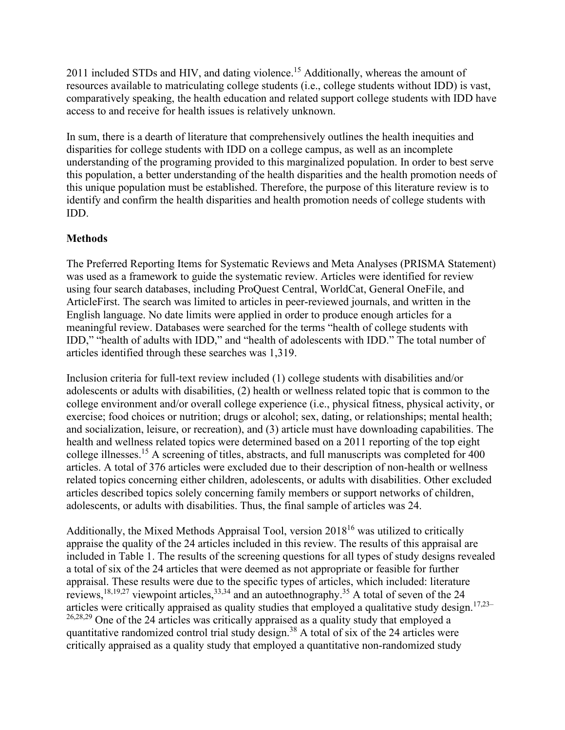2011 included STDs and HIV, and dating violence.<sup>15</sup> Additionally, whereas the amount of resources available to matriculating college students (i.e., college students without IDD) is vast, comparatively speaking, the health education and related support college students with IDD have access to and receive for health issues is relatively unknown.

In sum, there is a dearth of literature that comprehensively outlines the health inequities and disparities for college students with IDD on a college campus, as well as an incomplete understanding of the programing provided to this marginalized population. In order to best serve this population, a better understanding of the health disparities and the health promotion needs of this unique population must be established. Therefore, the purpose of this literature review is to identify and confirm the health disparities and health promotion needs of college students with IDD.

## **Methods**

The Preferred Reporting Items for Systematic Reviews and Meta Analyses (PRISMA Statement) was used as a framework to guide the systematic review. Articles were identified for review using four search databases, including ProQuest Central, WorldCat, General OneFile, and ArticleFirst. The search was limited to articles in peer-reviewed journals, and written in the English language. No date limits were applied in order to produce enough articles for a meaningful review. Databases were searched for the terms "health of college students with IDD," "health of adults with IDD," and "health of adolescents with IDD." The total number of articles identified through these searches was 1,319.

Inclusion criteria for full-text review included (1) college students with disabilities and/or adolescents or adults with disabilities, (2) health or wellness related topic that is common to the college environment and/or overall college experience (i.e., physical fitness, physical activity, or exercise; food choices or nutrition; drugs or alcohol; sex, dating, or relationships; mental health; and socialization, leisure, or recreation), and (3) article must have downloading capabilities. The health and wellness related topics were determined based on a 2011 reporting of the top eight college illnesses.<sup>15</sup> A screening of titles, abstracts, and full manuscripts was completed for 400 articles. A total of 376 articles were excluded due to their description of non-health or wellness related topics concerning either children, adolescents, or adults with disabilities. Other excluded articles described topics solely concerning family members or support networks of children, adolescents, or adults with disabilities. Thus, the final sample of articles was 24.

Additionally, the Mixed Methods Appraisal Tool, version  $2018^{16}$  was utilized to critically appraise the quality of the 24 articles included in this review. The results of this appraisal are included in Table 1. The results of the screening questions for all types of study designs revealed a total of six of the 24 articles that were deemed as not appropriate or feasible for further appraisal. These results were due to the specific types of articles, which included: literature reviews,  $^{18,19,27}$  viewpoint articles,  $^{33,34}$  and an autoethnography.<sup>35</sup> A total of seven of the 24 articles were critically appraised as quality studies that employed a qualitative study design.<sup>17,23–</sup> <sup>26,28,29</sup> One of the 24 articles was critically appraised as a quality study that employed a quantitative randomized control trial study design.38 A total of six of the 24 articles were critically appraised as a quality study that employed a quantitative non-randomized study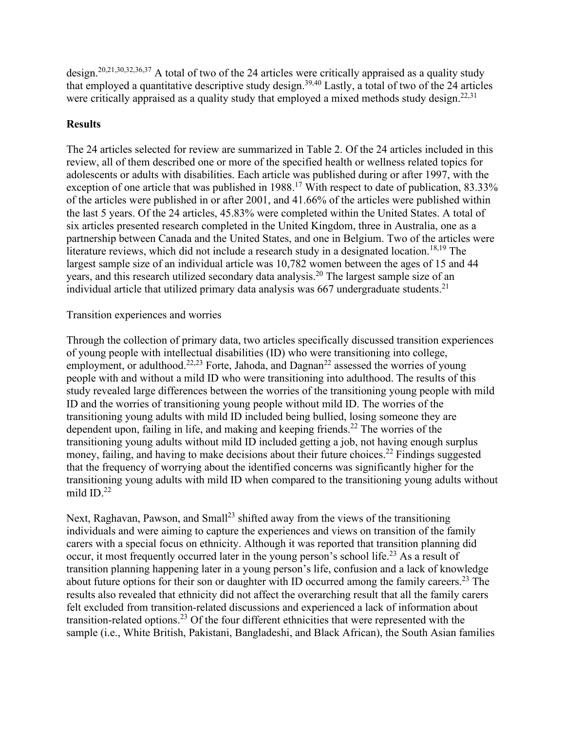design.20,21,30,32,36,37 A total of two of the 24 articles were critically appraised as a quality study that employed a quantitative descriptive study design.<sup>39,40</sup> Lastly, a total of two of the 24 articles were critically appraised as a quality study that employed a mixed methods study design.<sup>22,31</sup>

## **Results**

The 24 articles selected for review are summarized in Table 2. Of the 24 articles included in this review, all of them described one or more of the specified health or wellness related topics for adolescents or adults with disabilities. Each article was published during or after 1997, with the exception of one article that was published in 1988.<sup>17</sup> With respect to date of publication, 83.33% of the articles were published in or after 2001, and 41.66% of the articles were published within the last 5 years. Of the 24 articles, 45.83% were completed within the United States. A total of six articles presented research completed in the United Kingdom, three in Australia, one as a partnership between Canada and the United States, and one in Belgium. Two of the articles were literature reviews, which did not include a research study in a designated location.<sup>18,19</sup> The largest sample size of an individual article was 10,782 women between the ages of 15 and 44 years, and this research utilized secondary data analysis.<sup>20</sup> The largest sample size of an individual article that utilized primary data analysis was  $667$  undergraduate students.<sup>21</sup>

## Transition experiences and worries

Through the collection of primary data, two articles specifically discussed transition experiences of young people with intellectual disabilities (ID) who were transitioning into college, employment, or adulthood.<sup>22,23</sup> Forte, Jahoda, and Dagnan<sup>22</sup> assessed the worries of young people with and without a mild ID who were transitioning into adulthood. The results of this study revealed large differences between the worries of the transitioning young people with mild ID and the worries of transitioning young people without mild ID. The worries of the transitioning young adults with mild ID included being bullied, losing someone they are dependent upon, failing in life, and making and keeping friends.<sup>22</sup> The worries of the transitioning young adults without mild ID included getting a job, not having enough surplus money, failing, and having to make decisions about their future choices.<sup>22</sup> Findings suggested that the frequency of worrying about the identified concerns was significantly higher for the transitioning young adults with mild ID when compared to the transitioning young adults without mild  $ID<sup>22</sup>$ 

Next, Raghavan, Pawson, and Small<sup>23</sup> shifted away from the views of the transitioning individuals and were aiming to capture the experiences and views on transition of the family carers with a special focus on ethnicity. Although it was reported that transition planning did occur, it most frequently occurred later in the young person's school life.<sup>23</sup> As a result of transition planning happening later in a young person's life, confusion and a lack of knowledge about future options for their son or daughter with ID occurred among the family careers.<sup>23</sup> The results also revealed that ethnicity did not affect the overarching result that all the family carers felt excluded from transition-related discussions and experienced a lack of information about transition-related options.<sup>23</sup> Of the four different ethnicities that were represented with the sample (i.e., White British, Pakistani, Bangladeshi, and Black African), the South Asian families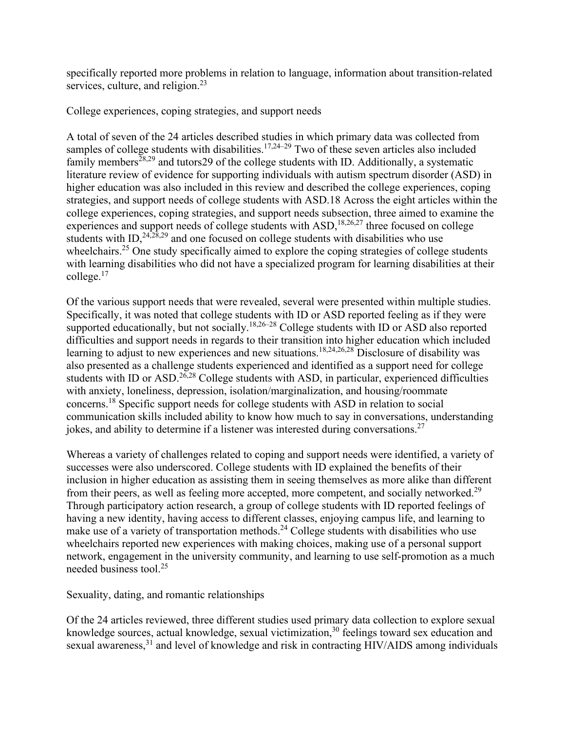specifically reported more problems in relation to language, information about transition-related services, culture, and religion.<sup>23</sup>

College experiences, coping strategies, and support needs

A total of seven of the 24 articles described studies in which primary data was collected from samples of college students with disabilities.<sup>17,24–29</sup> Two of these seven articles also included family members<sup>28,29</sup> and tutors 29 of the college students with ID. Additionally, a systematic literature review of evidence for supporting individuals with autism spectrum disorder (ASD) in higher education was also included in this review and described the college experiences, coping strategies, and support needs of college students with ASD.18 Across the eight articles within the college experiences, coping strategies, and support needs subsection, three aimed to examine the experiences and support needs of college students with ASD,<sup>18,26,27</sup> three focused on college students with ID,  $24,28,29$  and one focused on college students with disabilities who use wheelchairs.<sup>25</sup> One study specifically aimed to explore the coping strategies of college students with learning disabilities who did not have a specialized program for learning disabilities at their college. $17$ 

Of the various support needs that were revealed, several were presented within multiple studies. Specifically, it was noted that college students with ID or ASD reported feeling as if they were supported educationally, but not socially.<sup>18,26–28</sup> College students with ID or ASD also reported difficulties and support needs in regards to their transition into higher education which included learning to adjust to new experiences and new situations.<sup>18,24,26,28</sup> Disclosure of disability was also presented as a challenge students experienced and identified as a support need for college students with ID or ASD.<sup>26,28</sup> College students with ASD, in particular, experienced difficulties with anxiety, loneliness, depression, isolation/marginalization, and housing/roommate concerns.18 Specific support needs for college students with ASD in relation to social communication skills included ability to know how much to say in conversations, understanding jokes, and ability to determine if a listener was interested during conversations.<sup>27</sup>

Whereas a variety of challenges related to coping and support needs were identified, a variety of successes were also underscored. College students with ID explained the benefits of their inclusion in higher education as assisting them in seeing themselves as more alike than different from their peers, as well as feeling more accepted, more competent, and socially networked.<sup>29</sup> Through participatory action research, a group of college students with ID reported feelings of having a new identity, having access to different classes, enjoying campus life, and learning to make use of a variety of transportation methods.<sup>24</sup> College students with disabilities who use wheelchairs reported new experiences with making choices, making use of a personal support network, engagement in the university community, and learning to use self-promotion as a much needed business tool.25

Sexuality, dating, and romantic relationships

Of the 24 articles reviewed, three different studies used primary data collection to explore sexual knowledge sources, actual knowledge, sexual victimization,<sup>30</sup> feelings toward sex education and sexual awareness,<sup>31</sup> and level of knowledge and risk in contracting HIV/AIDS among individuals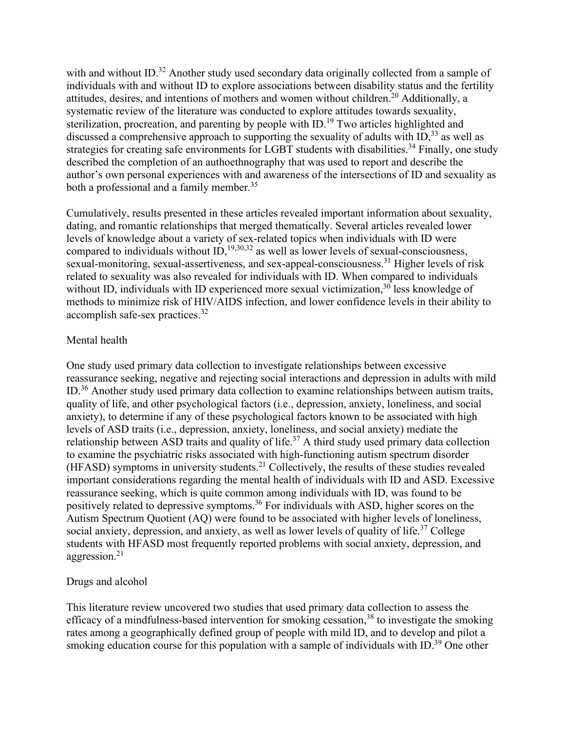with and without ID.<sup>32</sup> Another study used secondary data originally collected from a sample of individuals with and without ID to explore associations between disability status and the fertility attitudes, desires, and intentions of mothers and women without children.<sup>20</sup> Additionally, a systematic review of the literature was conducted to explore attitudes towards sexuality, sterilization, procreation, and parenting by people with ID.<sup>19</sup> Two articles highlighted and discussed a comprehensive approach to supporting the sexuality of adults with  $ID<sub>1</sub><sup>33</sup>$  as well as strategies for creating safe environments for LGBT students with disabilities.<sup>34</sup> Finally, one study described the completion of an authoethnography that was used to report and describe the author's own personal experiences with and awareness of the intersections of ID and sexuality as both a professional and a family member.<sup>35</sup>

Cumulatively, results presented in these articles revealed important information about sexuality, dating, and romantic relationships that merged thematically. Several articles revealed lower levels of knowledge about a variety of sex-related topics when individuals with ID were compared to individuals without  $ID<sub>1</sub><sup>19,30,32</sup>$  as well as lower levels of sexual-consciousness, sexual-monitoring, sexual-assertiveness, and sex-appeal-consciousness.<sup>31</sup> Higher levels of risk related to sexuality was also revealed for individuals with ID. When compared to individuals without ID, individuals with ID experienced more sexual victimization,  $30$  less knowledge of methods to minimize risk of HIV/AIDS infection, and lower confidence levels in their ability to accomplish safe-sex practices.32

### Mental health

One study used primary data collection to investigate relationships between excessive reassurance seeking, negative and rejecting social interactions and depression in adults with mild ID.36 Another study used primary data collection to examine relationships between autism traits, quality of life, and other psychological factors (i.e., depression, anxiety, loneliness, and social anxiety), to determine if any of these psychological factors known to be associated with high levels of ASD traits (i.e., depression, anxiety, loneliness, and social anxiety) mediate the relationship between ASD traits and quality of life.<sup>37</sup> A third study used primary data collection to examine the psychiatric risks associated with high-functioning autism spectrum disorder  $(HFASD)$  symptoms in university students.<sup>21</sup> Collectively, the results of these studies revealed important considerations regarding the mental health of individuals with ID and ASD. Excessive reassurance seeking, which is quite common among individuals with ID, was found to be positively related to depressive symptoms.<sup>36</sup> For individuals with ASD, higher scores on the Autism Spectrum Quotient (AQ) were found to be associated with higher levels of loneliness, social anxiety, depression, and anxiety, as well as lower levels of quality of life.<sup>37</sup> College students with HFASD most frequently reported problems with social anxiety, depression, and aggression.<sup>21</sup>

#### Drugs and alcohol

This literature review uncovered two studies that used primary data collection to assess the efficacy of a mindfulness-based intervention for smoking cessation,  $38$  to investigate the smoking rates among a geographically defined group of people with mild ID, and to develop and pilot a smoking education course for this population with a sample of individuals with  $ID.^{39}$  One other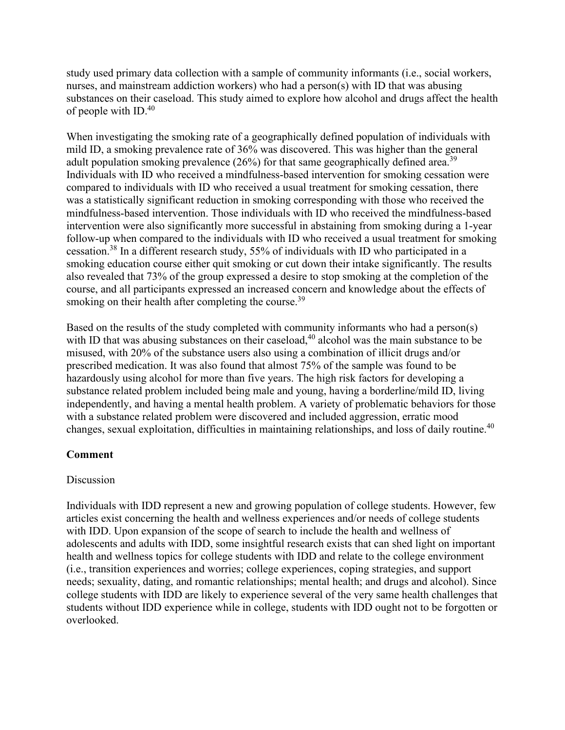study used primary data collection with a sample of community informants (i.e., social workers, nurses, and mainstream addiction workers) who had a person(s) with ID that was abusing substances on their caseload. This study aimed to explore how alcohol and drugs affect the health of people with ID.40

When investigating the smoking rate of a geographically defined population of individuals with mild ID, a smoking prevalence rate of 36% was discovered. This was higher than the general adult population smoking prevalence  $(26\%)$  for that same geographically defined area.<sup>39</sup> Individuals with ID who received a mindfulness-based intervention for smoking cessation were compared to individuals with ID who received a usual treatment for smoking cessation, there was a statistically significant reduction in smoking corresponding with those who received the mindfulness-based intervention. Those individuals with ID who received the mindfulness-based intervention were also significantly more successful in abstaining from smoking during a 1-year follow-up when compared to the individuals with ID who received a usual treatment for smoking cessation.38 In a different research study, 55% of individuals with ID who participated in a smoking education course either quit smoking or cut down their intake significantly. The results also revealed that 73% of the group expressed a desire to stop smoking at the completion of the course, and all participants expressed an increased concern and knowledge about the effects of smoking on their health after completing the course.<sup>39</sup>

Based on the results of the study completed with community informants who had a person(s) with ID that was abusing substances on their caseload,<sup>40</sup> alcohol was the main substance to be misused, with 20% of the substance users also using a combination of illicit drugs and/or prescribed medication. It was also found that almost 75% of the sample was found to be hazardously using alcohol for more than five years. The high risk factors for developing a substance related problem included being male and young, having a borderline/mild ID, living independently, and having a mental health problem. A variety of problematic behaviors for those with a substance related problem were discovered and included aggression, erratic mood changes, sexual exploitation, difficulties in maintaining relationships, and loss of daily routine.40

# **Comment**

## Discussion

Individuals with IDD represent a new and growing population of college students. However, few articles exist concerning the health and wellness experiences and/or needs of college students with IDD. Upon expansion of the scope of search to include the health and wellness of adolescents and adults with IDD, some insightful research exists that can shed light on important health and wellness topics for college students with IDD and relate to the college environment (i.e., transition experiences and worries; college experiences, coping strategies, and support needs; sexuality, dating, and romantic relationships; mental health; and drugs and alcohol). Since college students with IDD are likely to experience several of the very same health challenges that students without IDD experience while in college, students with IDD ought not to be forgotten or overlooked.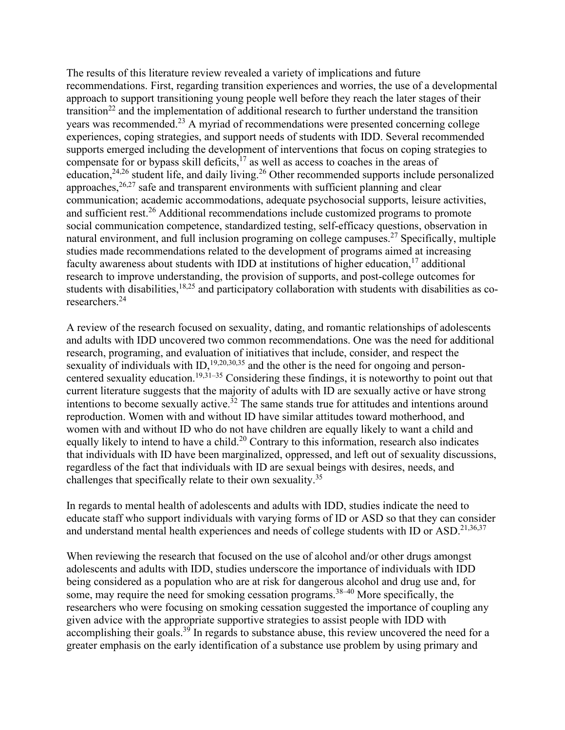The results of this literature review revealed a variety of implications and future recommendations. First, regarding transition experiences and worries, the use of a developmental approach to support transitioning young people well before they reach the later stages of their transition<sup>22</sup> and the implementation of additional research to further understand the transition years was recommended.<sup>23</sup> A myriad of recommendations were presented concerning college experiences, coping strategies, and support needs of students with IDD. Several recommended supports emerged including the development of interventions that focus on coping strategies to compensate for or bypass skill deficits, $17$  as well as access to coaches in the areas of education,<sup>24,26</sup> student life, and daily living.<sup>26</sup> Other recommended supports include personalized approaches, $26,27$  safe and transparent environments with sufficient planning and clear communication; academic accommodations, adequate psychosocial supports, leisure activities, and sufficient rest.<sup>26</sup> Additional recommendations include customized programs to promote social communication competence, standardized testing, self-efficacy questions, observation in natural environment, and full inclusion programing on college campuses.<sup>27</sup> Specifically, multiple studies made recommendations related to the development of programs aimed at increasing faculty awareness about students with IDD at institutions of higher education,  $17$  additional research to improve understanding, the provision of supports, and post-college outcomes for students with disabilities, $18,25$  and participatory collaboration with students with disabilities as coresearchers.24

A review of the research focused on sexuality, dating, and romantic relationships of adolescents and adults with IDD uncovered two common recommendations. One was the need for additional research, programing, and evaluation of initiatives that include, consider, and respect the sexuality of individuals with ID,<sup>19,20,30,35</sup> and the other is the need for ongoing and personcentered sexuality education.<sup>19,31–35</sup> Considering these findings, it is noteworthy to point out that current literature suggests that the majority of adults with ID are sexually active or have strong intentions to become sexually active.<sup>32</sup> The same stands true for attitudes and intentions around reproduction. Women with and without ID have similar attitudes toward motherhood, and women with and without ID who do not have children are equally likely to want a child and equally likely to intend to have a child.<sup>20</sup> Contrary to this information, research also indicates that individuals with ID have been marginalized, oppressed, and left out of sexuality discussions, regardless of the fact that individuals with ID are sexual beings with desires, needs, and challenges that specifically relate to their own sexuality.<sup>35</sup>

In regards to mental health of adolescents and adults with IDD, studies indicate the need to educate staff who support individuals with varying forms of ID or ASD so that they can consider and understand mental health experiences and needs of college students with ID or ASD.<sup>21,36,37</sup>

When reviewing the research that focused on the use of alcohol and/or other drugs amongst adolescents and adults with IDD, studies underscore the importance of individuals with IDD being considered as a population who are at risk for dangerous alcohol and drug use and, for some, may require the need for smoking cessation programs.<sup>38–40</sup> More specifically, the researchers who were focusing on smoking cessation suggested the importance of coupling any given advice with the appropriate supportive strategies to assist people with IDD with  $\alpha$  accomplishing their goals.<sup>39</sup> In regards to substance abuse, this review uncovered the need for a greater emphasis on the early identification of a substance use problem by using primary and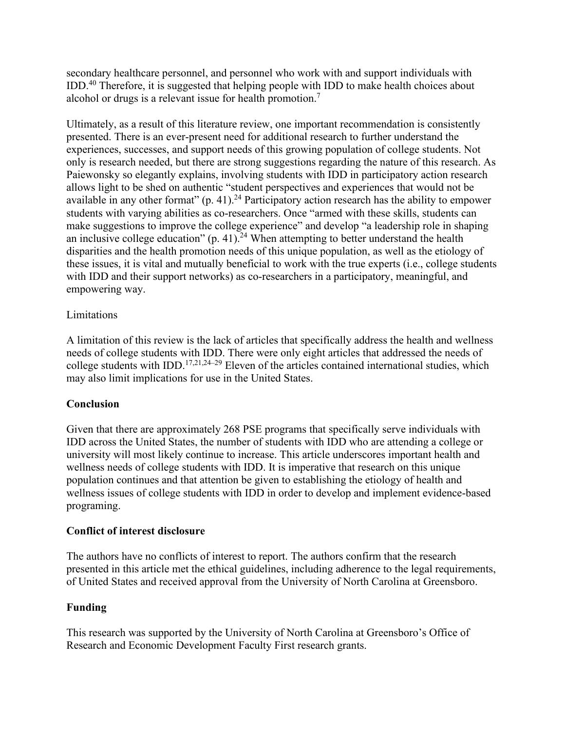secondary healthcare personnel, and personnel who work with and support individuals with IDD.<sup>40</sup> Therefore, it is suggested that helping people with IDD to make health choices about alcohol or drugs is a relevant issue for health promotion.7

Ultimately, as a result of this literature review, one important recommendation is consistently presented. There is an ever-present need for additional research to further understand the experiences, successes, and support needs of this growing population of college students. Not only is research needed, but there are strong suggestions regarding the nature of this research. As Paiewonsky so elegantly explains, involving students with IDD in participatory action research allows light to be shed on authentic "student perspectives and experiences that would not be available in any other format"  $(p. 41)$ .<sup>24</sup> Participatory action research has the ability to empower students with varying abilities as co-researchers. Once "armed with these skills, students can make suggestions to improve the college experience" and develop "a leadership role in shaping an inclusive college education"  $(p. 41)$ .<sup>24</sup> When attempting to better understand the health disparities and the health promotion needs of this unique population, as well as the etiology of these issues, it is vital and mutually beneficial to work with the true experts (i.e., college students with IDD and their support networks) as co-researchers in a participatory, meaningful, and empowering way.

## **Limitations**

A limitation of this review is the lack of articles that specifically address the health and wellness needs of college students with IDD. There were only eight articles that addressed the needs of college students with IDD.<sup>17,21,24–29</sup> Eleven of the articles contained international studies, which may also limit implications for use in the United States.

## **Conclusion**

Given that there are approximately 268 PSE programs that specifically serve individuals with IDD across the United States, the number of students with IDD who are attending a college or university will most likely continue to increase. This article underscores important health and wellness needs of college students with IDD. It is imperative that research on this unique population continues and that attention be given to establishing the etiology of health and wellness issues of college students with IDD in order to develop and implement evidence-based programing.

## **Conflict of interest disclosure**

The authors have no conflicts of interest to report. The authors confirm that the research presented in this article met the ethical guidelines, including adherence to the legal requirements, of United States and received approval from the University of North Carolina at Greensboro.

## **Funding**

This research was supported by the University of North Carolina at Greensboro's Office of Research and Economic Development Faculty First research grants.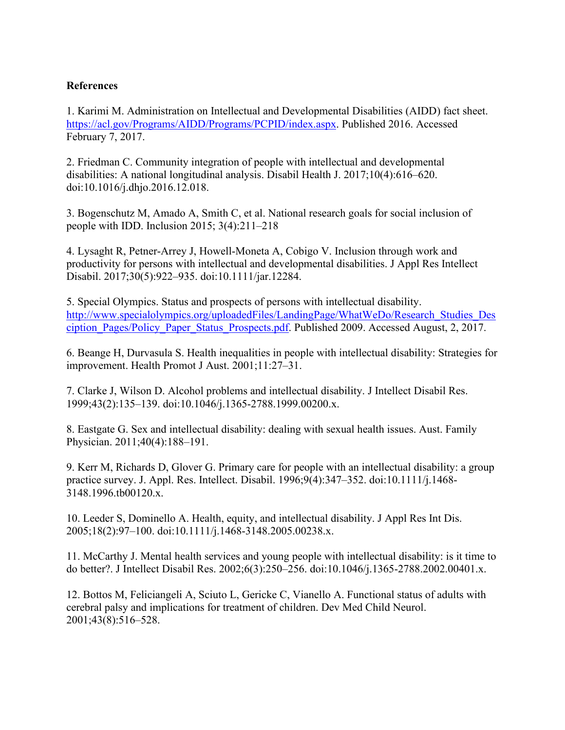## **References**

1. Karimi M. Administration on Intellectual and Developmental Disabilities (AIDD) fact sheet. [https://acl.gov/Programs/AIDD/Programs/PCPID/index.aspx.](https://acl.gov/Programs/AIDD/Programs/PCPID/index.aspx) Published 2016. Accessed February 7, 2017.

2. Friedman C. Community integration of people with intellectual and developmental disabilities: A national longitudinal analysis. Disabil Health J. 2017;10(4):616–620. doi:10.1016/j.dhjo.2016.12.018.

3. Bogenschutz M, Amado A, Smith C, et al. National research goals for social inclusion of people with IDD. Inclusion 2015; 3(4):211–218

4. Lysaght R, Petner-Arrey J, Howell-Moneta A, Cobigo V. Inclusion through work and productivity for persons with intellectual and developmental disabilities. J Appl Res Intellect Disabil. 2017;30(5):922–935. doi:10.1111/jar.12284.

5. Special Olympics. Status and prospects of persons with intellectual disability. [http://www.specialolympics.org/uploadedFiles/LandingPage/WhatWeDo/Research\\_Studies\\_Des](http://www.specialolympics.org/uploadedFiles/LandingPage/WhatWeDo/Research_Studies_Desciption_Pages/Policy_Paper_Status_Prospects.pdf) ciption Pages/Policy Paper Status Prospects.pdf. Published 2009. Accessed August, 2, 2017.

6. Beange H, Durvasula S. Health inequalities in people with intellectual disability: Strategies for improvement. Health Promot J Aust. 2001;11:27–31.

7. Clarke J, Wilson D. Alcohol problems and intellectual disability. J Intellect Disabil Res. 1999;43(2):135–139. doi:10.1046/j.1365-2788.1999.00200.x.

8. Eastgate G. Sex and intellectual disability: dealing with sexual health issues. Aust. Family Physician. 2011;40(4):188–191.

9. Kerr M, Richards D, Glover G. Primary care for people with an intellectual disability: a group practice survey. J. Appl. Res. Intellect. Disabil. 1996;9(4):347–352. doi:10.1111/j.1468- 3148.1996.tb00120.x.

10. Leeder S, Dominello A. Health, equity, and intellectual disability. J Appl Res Int Dis. 2005;18(2):97–100. doi:10.1111/j.1468-3148.2005.00238.x.

11. McCarthy J. Mental health services and young people with intellectual disability: is it time to do better?. J Intellect Disabil Res. 2002;6(3):250–256. doi:10.1046/j.1365-2788.2002.00401.x.

12. Bottos M, Feliciangeli A, Sciuto L, Gericke C, Vianello A. Functional status of adults with cerebral palsy and implications for treatment of children. Dev Med Child Neurol. 2001;43(8):516–528.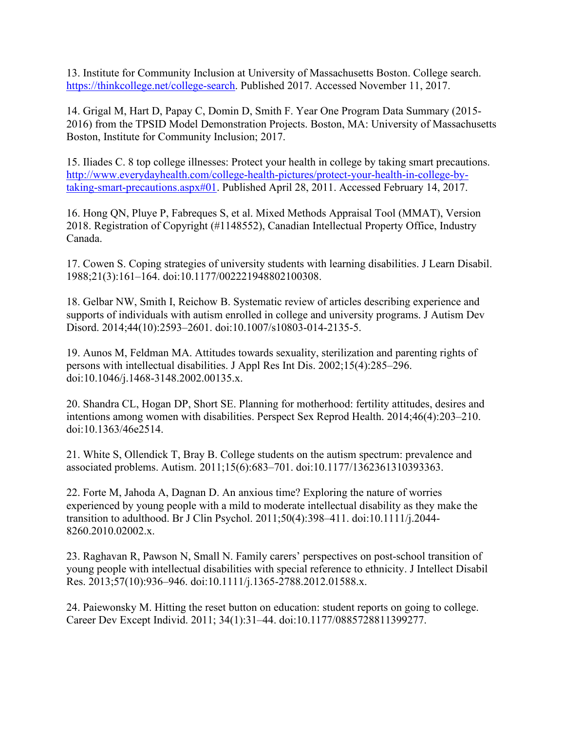13. Institute for Community Inclusion at University of Massachusetts Boston. College search. [https://thinkcollege.net/college-search.](https://thinkcollege.net/college-search) Published 2017. Accessed November 11, 2017.

14. Grigal M, Hart D, Papay C, Domin D, Smith F. Year One Program Data Summary (2015- 2016) from the TPSID Model Demonstration Projects. Boston, MA: University of Massachusetts Boston, Institute for Community Inclusion; 2017.

15. Iliades C. 8 top college illnesses: Protect your health in college by taking smart precautions. [http://www.everydayhealth.com/college-health-pictures/protect-your-health-in-college-by](http://www.everydayhealth.com/college-health-pictures/protect-your-health-in-college-by-taking-smart-precautions.aspx#01)[taking-smart-precautions.aspx#01.](http://www.everydayhealth.com/college-health-pictures/protect-your-health-in-college-by-taking-smart-precautions.aspx#01) Published April 28, 2011. Accessed February 14, 2017.

16. Hong QN, Pluye P, Fabreques S, et al. Mixed Methods Appraisal Tool (MMAT), Version 2018. Registration of Copyright (#1148552), Canadian Intellectual Property Office, Industry Canada.

17. Cowen S. Coping strategies of university students with learning disabilities. J Learn Disabil. 1988;21(3):161–164. doi:10.1177/002221948802100308.

18. Gelbar NW, Smith I, Reichow B. Systematic review of articles describing experience and supports of individuals with autism enrolled in college and university programs. J Autism Dev Disord. 2014;44(10):2593–2601. doi:10.1007/s10803-014-2135-5.

19. Aunos M, Feldman MA. Attitudes towards sexuality, sterilization and parenting rights of persons with intellectual disabilities. J Appl Res Int Dis. 2002;15(4):285–296. doi:10.1046/j.1468-3148.2002.00135.x.

20. Shandra CL, Hogan DP, Short SE. Planning for motherhood: fertility attitudes, desires and intentions among women with disabilities. Perspect Sex Reprod Health. 2014;46(4):203–210. doi:10.1363/46e2514.

21. White S, Ollendick T, Bray B. College students on the autism spectrum: prevalence and associated problems. Autism. 2011;15(6):683–701. doi:10.1177/1362361310393363.

22. Forte M, Jahoda A, Dagnan D. An anxious time? Exploring the nature of worries experienced by young people with a mild to moderate intellectual disability as they make the transition to adulthood. Br J Clin Psychol. 2011;50(4):398–411. doi:10.1111/j.2044- 8260.2010.02002.x.

23. Raghavan R, Pawson N, Small N. Family carers' perspectives on post-school transition of young people with intellectual disabilities with special reference to ethnicity. J Intellect Disabil Res. 2013;57(10):936–946. doi:10.1111/j.1365-2788.2012.01588.x.

24. Paiewonsky M. Hitting the reset button on education: student reports on going to college. Career Dev Except Individ. 2011; 34(1):31–44. doi:10.1177/0885728811399277.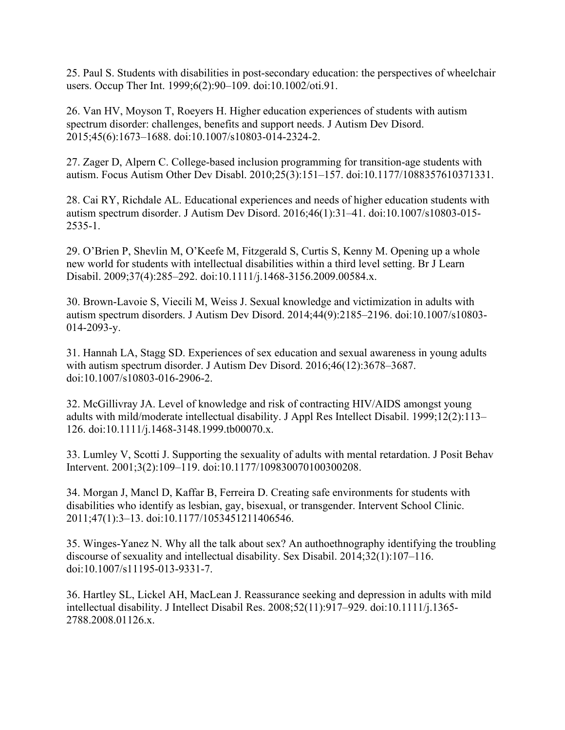25. Paul S. Students with disabilities in post-secondary education: the perspectives of wheelchair users. Occup Ther Int. 1999;6(2):90–109. doi:10.1002/oti.91.

26. Van HV, Moyson T, Roeyers H. Higher education experiences of students with autism spectrum disorder: challenges, benefits and support needs. J Autism Dev Disord. 2015;45(6):1673–1688. doi:10.1007/s10803-014-2324-2.

27. Zager D, Alpern C. College-based inclusion programming for transition-age students with autism. Focus Autism Other Dev Disabl. 2010;25(3):151–157. doi:10.1177/1088357610371331.

28. Cai RY, Richdale AL. Educational experiences and needs of higher education students with autism spectrum disorder. J Autism Dev Disord. 2016;46(1):31–41. doi:10.1007/s10803-015- 2535-1.

29. O'Brien P, Shevlin M, O'Keefe M, Fitzgerald S, Curtis S, Kenny M. Opening up a whole new world for students with intellectual disabilities within a third level setting. Br J Learn Disabil. 2009;37(4):285–292. doi:10.1111/j.1468-3156.2009.00584.x.

30. Brown-Lavoie S, Viecili M, Weiss J. Sexual knowledge and victimization in adults with autism spectrum disorders. J Autism Dev Disord. 2014;44(9):2185–2196. doi:10.1007/s10803- 014-2093-y.

31. Hannah LA, Stagg SD. Experiences of sex education and sexual awareness in young adults with autism spectrum disorder. J Autism Dev Disord. 2016;46(12):3678–3687. doi:10.1007/s10803-016-2906-2.

32. McGillivray JA. Level of knowledge and risk of contracting HIV/AIDS amongst young adults with mild/moderate intellectual disability. J Appl Res Intellect Disabil. 1999;12(2):113– 126. doi:10.1111/j.1468-3148.1999.tb00070.x.

33. Lumley V, Scotti J. Supporting the sexuality of adults with mental retardation. J Posit Behav Intervent. 2001;3(2):109–119. doi:10.1177/109830070100300208.

34. Morgan J, Mancl D, Kaffar B, Ferreira D. Creating safe environments for students with disabilities who identify as lesbian, gay, bisexual, or transgender. Intervent School Clinic. 2011;47(1):3–13. doi:10.1177/1053451211406546.

35. Winges-Yanez N. Why all the talk about sex? An authoethnography identifying the troubling discourse of sexuality and intellectual disability. Sex Disabil. 2014;32(1):107–116. doi:10.1007/s11195-013-9331-7.

36. Hartley SL, Lickel AH, MacLean J. Reassurance seeking and depression in adults with mild intellectual disability. J Intellect Disabil Res. 2008;52(11):917–929. doi:10.1111/j.1365- 2788.2008.01126.x.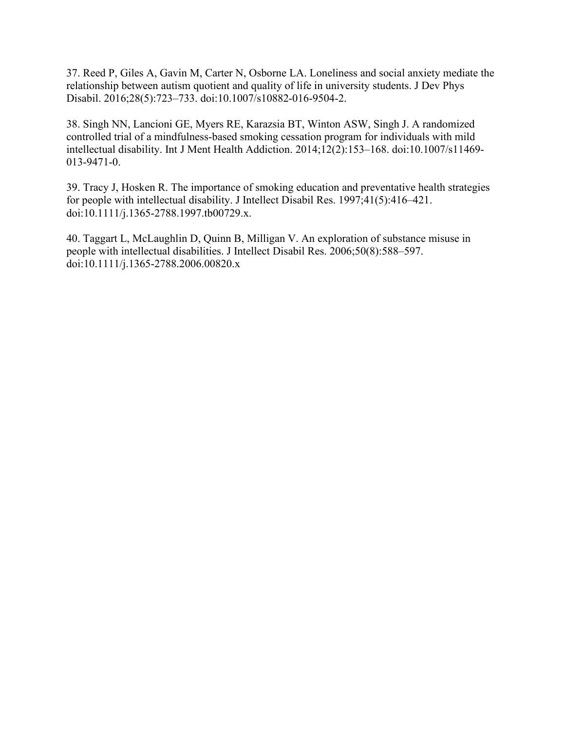37. Reed P, Giles A, Gavin M, Carter N, Osborne LA. Loneliness and social anxiety mediate the relationship between autism quotient and quality of life in university students. J Dev Phys Disabil. 2016;28(5):723–733. doi:10.1007/s10882-016-9504-2.

38. Singh NN, Lancioni GE, Myers RE, Karazsia BT, Winton ASW, Singh J. A randomized controlled trial of a mindfulness-based smoking cessation program for individuals with mild intellectual disability. Int J Ment Health Addiction. 2014;12(2):153–168. doi:10.1007/s11469- 013-9471-0.

39. Tracy J, Hosken R. The importance of smoking education and preventative health strategies for people with intellectual disability. J Intellect Disabil Res. 1997;41(5):416–421. doi:10.1111/j.1365-2788.1997.tb00729.x.

40. Taggart L, McLaughlin D, Quinn B, Milligan V. An exploration of substance misuse in people with intellectual disabilities. J Intellect Disabil Res. 2006;50(8):588–597. doi:10.1111/j.1365-2788.2006.00820.x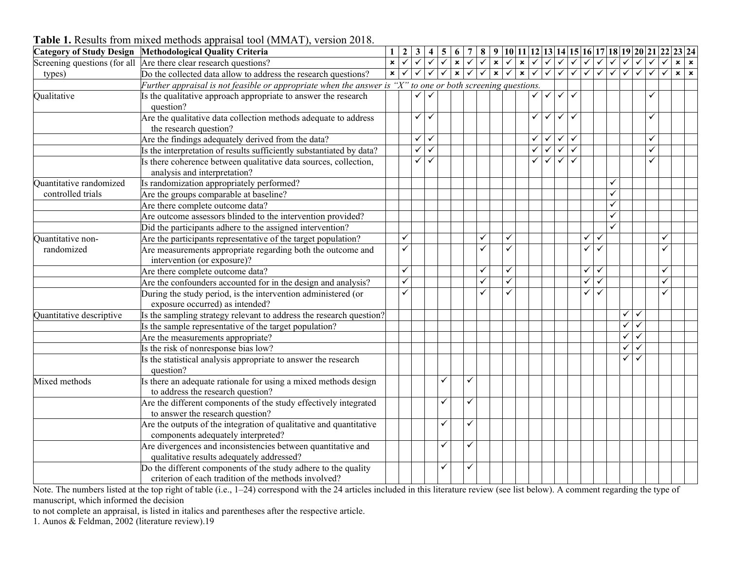|                                | Category of Study Design Methodological Quality Criteria                                                        |                |              |              |              |   |                     |                                      |              |                         |                              |              |              |                           |              |              |              |              |              |              | $1 2 3 4 5 6 7 8 9 10 11 12 13 14 15 16 17 18 19 20 21 22 23 24$ |            |
|--------------------------------|-----------------------------------------------------------------------------------------------------------------|----------------|--------------|--------------|--------------|---|---------------------|--------------------------------------|--------------|-------------------------|------------------------------|--------------|--------------|---------------------------|--------------|--------------|--------------|--------------|--------------|--------------|------------------------------------------------------------------|------------|
|                                | Screening questions (for all Are there clear research questions?                                                |                |              |              |              |   |                     | $\sqrt{\sqrt{\sqrt{\sqrt{\kappa}}}}$ |              |                         |                              |              |              |                           |              |              |              | $\checkmark$ | $\checkmark$ | $\checkmark$ | $\checkmark$<br>$\checkmark$                                     | $x \mid x$ |
| types)                         | Do the collected data allow to address the research questions?                                                  | $\pmb{\times}$ | $\checkmark$ | $\checkmark$ | $\checkmark$ |   | $\sqrt{\mathbf{x}}$ |                                      | $\checkmark$ | $\overline{\mathbf{x}}$ | $\checkmark$<br>$\mathbf{x}$ | $\checkmark$ |              | $\sqrt{2}$                |              | $\checkmark$ | $\checkmark$ | $\checkmark$ | $\checkmark$ | $\checkmark$ | $\checkmark$<br>$\checkmark$                                     | $x \mid x$ |
|                                | Further appraisal is not feasible or appropriate when the answer is " $X$ " to one or both screening questions. |                |              |              |              |   |                     |                                      |              |                         |                              |              |              |                           |              |              |              |              |              |              |                                                                  |            |
| Qualitative                    | Is the qualitative approach appropriate to answer the research                                                  |                |              | ✓            |              |   |                     |                                      |              |                         |                              | $\checkmark$ | $\checkmark$ | $\checkmark$              | $\checkmark$ |              |              |              |              |              |                                                                  |            |
|                                | question?                                                                                                       |                |              |              |              |   |                     |                                      |              |                         |                              |              |              |                           |              |              |              |              |              |              |                                                                  |            |
|                                | Are the qualitative data collection methods adequate to address                                                 |                |              | $\checkmark$ | $\checkmark$ |   |                     |                                      |              |                         |                              | $\checkmark$ | $\checkmark$ | $\checkmark$ $\checkmark$ |              |              |              |              |              |              | ✓                                                                |            |
|                                | the research question?                                                                                          |                |              |              |              |   |                     |                                      |              |                         |                              |              |              |                           |              |              |              |              |              |              |                                                                  |            |
|                                | Are the findings adequately derived from the data?                                                              |                |              | $\checkmark$ | $\checkmark$ |   |                     |                                      |              |                         |                              | $\checkmark$ | $\checkmark$ | $\checkmark$ $\checkmark$ |              |              |              |              |              |              | ✓                                                                |            |
|                                | Is the interpretation of results sufficiently substantiated by data?                                            |                |              | $\checkmark$ | $\checkmark$ |   |                     |                                      |              |                         |                              | $\checkmark$ | $\checkmark$ | $\checkmark$              | $\checkmark$ |              |              |              |              |              | ✓                                                                |            |
|                                | Is there coherence between qualitative data sources, collection,                                                |                |              | ✓            | $\checkmark$ |   |                     |                                      |              |                         |                              | ✓            | $\checkmark$ | $\checkmark$              |              |              |              |              |              |              |                                                                  |            |
|                                | analysis and interpretation?                                                                                    |                |              |              |              |   |                     |                                      |              |                         |                              |              |              |                           |              |              |              |              |              |              |                                                                  |            |
| <b>Ouantitative randomized</b> | Is randomization appropriately performed?                                                                       |                |              |              |              |   |                     |                                      |              |                         |                              |              |              |                           |              |              |              |              |              |              |                                                                  |            |
| controlled trials              | Are the groups comparable at baseline?                                                                          |                |              |              |              |   |                     |                                      |              |                         |                              |              |              |                           |              |              |              |              |              |              |                                                                  |            |
|                                | Are there complete outcome data?                                                                                |                |              |              |              |   |                     |                                      |              |                         |                              |              |              |                           |              |              |              |              |              |              |                                                                  |            |
|                                | Are outcome assessors blinded to the intervention provided?                                                     |                |              |              |              |   |                     |                                      |              |                         |                              |              |              |                           |              |              |              |              |              |              |                                                                  |            |
|                                | Did the participants adhere to the assigned intervention?                                                       |                |              |              |              |   |                     |                                      |              |                         |                              |              |              |                           |              |              |              |              |              |              |                                                                  |            |
| Ouantitative non-              | Are the participants representative of the target population?                                                   |                | ✓            |              |              |   |                     |                                      | $\checkmark$ |                         | ✓                            |              |              |                           |              | ✓            | $\checkmark$ |              |              |              |                                                                  |            |
| randomized                     | Are measurements appropriate regarding both the outcome and                                                     |                |              |              |              |   |                     |                                      |              |                         |                              |              |              |                           |              | ✓            |              |              |              |              |                                                                  |            |
|                                | intervention (or exposure)?                                                                                     |                |              |              |              |   |                     |                                      |              |                         |                              |              |              |                           |              |              |              |              |              |              |                                                                  |            |
|                                | Are there complete outcome data?                                                                                |                | ✓            |              |              |   |                     |                                      | ✓            |                         | ✓                            |              |              |                           |              | ✓            | ✓            |              |              |              |                                                                  |            |
|                                | Are the confounders accounted for in the design and analysis?                                                   |                |              |              |              |   |                     |                                      | ✓            |                         | $\checkmark$                 |              |              |                           |              | ✓            | ✓            |              |              |              |                                                                  |            |
|                                | During the study period, is the intervention administered (or                                                   |                |              |              |              |   |                     |                                      |              |                         |                              |              |              |                           |              | ✓            | $\checkmark$ |              |              |              |                                                                  |            |
|                                | exposure occurred) as intended?                                                                                 |                |              |              |              |   |                     |                                      |              |                         |                              |              |              |                           |              |              |              |              |              |              |                                                                  |            |
| Quantitative descriptive       | Is the sampling strategy relevant to address the research question?                                             |                |              |              |              |   |                     |                                      |              |                         |                              |              |              |                           |              |              |              |              | $\checkmark$ | $\checkmark$ |                                                                  |            |
|                                | Is the sample representative of the target population?                                                          |                |              |              |              |   |                     |                                      |              |                         |                              |              |              |                           |              |              |              |              | $\checkmark$ | ✓            |                                                                  |            |
|                                | Are the measurements appropriate?                                                                               |                |              |              |              |   |                     |                                      |              |                         |                              |              |              |                           |              |              |              |              | ✓            |              |                                                                  |            |
|                                | Is the risk of nonresponse bias low?                                                                            |                |              |              |              |   |                     |                                      |              |                         |                              |              |              |                           |              |              |              |              | ✓            |              |                                                                  |            |
|                                | Is the statistical analysis appropriate to answer the research                                                  |                |              |              |              |   |                     |                                      |              |                         |                              |              |              |                           |              |              |              |              | $\checkmark$ | $\checkmark$ |                                                                  |            |
|                                | question?                                                                                                       |                |              |              |              |   |                     |                                      |              |                         |                              |              |              |                           |              |              |              |              |              |              |                                                                  |            |
| Mixed methods                  | Is there an adequate rationale for using a mixed methods design                                                 |                |              |              |              | ✓ |                     |                                      |              |                         |                              |              |              |                           |              |              |              |              |              |              |                                                                  |            |
|                                | to address the research question?                                                                               |                |              |              |              |   |                     |                                      |              |                         |                              |              |              |                           |              |              |              |              |              |              |                                                                  |            |
|                                | Are the different components of the study effectively integrated                                                |                |              |              |              | ✓ |                     |                                      |              |                         |                              |              |              |                           |              |              |              |              |              |              |                                                                  |            |
|                                | to answer the research question?                                                                                |                |              |              |              |   |                     |                                      |              |                         |                              |              |              |                           |              |              |              |              |              |              |                                                                  |            |
|                                | Are the outputs of the integration of qualitative and quantitative                                              |                |              |              |              | ✓ |                     |                                      |              |                         |                              |              |              |                           |              |              |              |              |              |              |                                                                  |            |
|                                | components adequately interpreted?                                                                              |                |              |              |              |   |                     |                                      |              |                         |                              |              |              |                           |              |              |              |              |              |              |                                                                  |            |
|                                | Are divergences and inconsistencies between quantitative and                                                    |                |              |              |              | ✓ |                     |                                      |              |                         |                              |              |              |                           |              |              |              |              |              |              |                                                                  |            |
|                                | qualitative results adequately addressed?                                                                       |                |              |              |              |   |                     |                                      |              |                         |                              |              |              |                           |              |              |              |              |              |              |                                                                  |            |
|                                | Do the different components of the study adhere to the quality                                                  |                |              |              |              |   |                     |                                      |              |                         |                              |              |              |                           |              |              |              |              |              |              |                                                                  |            |
|                                | criterion of each tradition of the methods involved?                                                            |                |              |              |              |   |                     |                                      |              |                         |                              |              |              |                           |              |              |              |              |              |              |                                                                  |            |

**Table 1.** Results from mixed methods appraisal tool (MMAT), version 2018.

Note. The numbers listed at the top right of table (i.e., 1–24) correspond with the 24 articles included in this literature review (see list below). A comment regarding the type of manuscript, which informed the decision

to not complete an appraisal, is listed in italics and parentheses after the respective article.

1. Aunos & Feldman, 2002 (literature review).19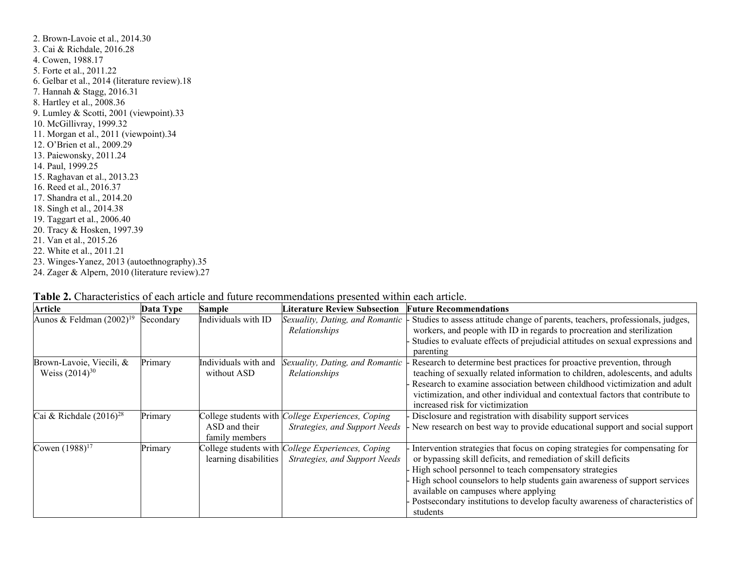2. Brown-Lavoie et al., 2014.30 3. Cai & Richdale, 2016.28 4. Cowen, 1988.17 5. Forte et al., 2011.22 6. Gelbar et al., 2014 (literature review).18 7. Hannah & Stagg, 2016.31 8. Hartley et al., 2008.36 9. Lumley & Scotti, 2001 (viewpoint).33 10. McGillivray, 1999.32 11. Morgan et al., 2011 (viewpoint).34 12. O'Brien et al., 2009.29 13. Paiewonsky, 2011.24 14. Paul, 1999.25 15. Raghavan et al., 2013.23 16. Reed et al., 2016.37 17. Shandra et al., 2014.20 18. Singh et al., 2014.38 19. Taggart et al., 2006.40 20. Tracy & Hosken, 1997.39 21. Van et al., 2015.26 22. White et al., 2011.21 23. Winges-Yanez, 2013 (autoethnography).35 24. Zager & Alpern, 2010 (literature review).27

| <b>Article</b>                                  | Data Type | Sample                                           | <b>Literature Review Subsection</b>                                                        | <b>Future Recommendations</b>                                                                                                                                                                                                                                                                                                                                                                                               |
|-------------------------------------------------|-----------|--------------------------------------------------|--------------------------------------------------------------------------------------------|-----------------------------------------------------------------------------------------------------------------------------------------------------------------------------------------------------------------------------------------------------------------------------------------------------------------------------------------------------------------------------------------------------------------------------|
| Aunos & Feldman $(2002)^{19}$                   | Secondary | Individuals with ID                              | Sexuality, Dating, and Romantic<br>Relationships                                           | Studies to assess attitude change of parents, teachers, professionals, judges,<br>workers, and people with ID in regards to procreation and sterilization<br>Studies to evaluate effects of prejudicial attitudes on sexual expressions and<br>parenting                                                                                                                                                                    |
| Brown-Lavoie, Viecili, &<br>Weiss $(2014)^{30}$ | Primary   | Individuals with and<br>without ASD              | Sexuality, Dating, and Romantic<br>Relationships                                           | Research to determine best practices for proactive prevention, through<br>teaching of sexually related information to children, adolescents, and adults<br>Research to examine association between childhood victimization and adult<br>victimization, and other individual and contextual factors that contribute to<br>increased risk for victimization                                                                   |
| Cai & Richdale $(2016)^{28}$                    | Primary   | ASD and their<br>family members                  | College students with <i>College Experiences</i> , Coping<br>Strategies, and Support Needs | Disclosure and registration with disability support services<br>New research on best way to provide educational support and social support                                                                                                                                                                                                                                                                                  |
| Cowen $(1988)^{17}$                             | Primary   | College students with (<br>learning disabilities | College Experiences, Coping<br>Strategies, and Support Needs                               | Intervention strategies that focus on coping strategies for compensating for<br>or bypassing skill deficits, and remediation of skill deficits<br>High school personnel to teach compensatory strategies<br>High school counselors to help students gain awareness of support services<br>available on campuses where applying<br>Postsecondary institutions to develop faculty awareness of characteristics of<br>students |

| Table 2. Characteristics of each article and future recommendations presented within each article. |  |
|----------------------------------------------------------------------------------------------------|--|
|----------------------------------------------------------------------------------------------------|--|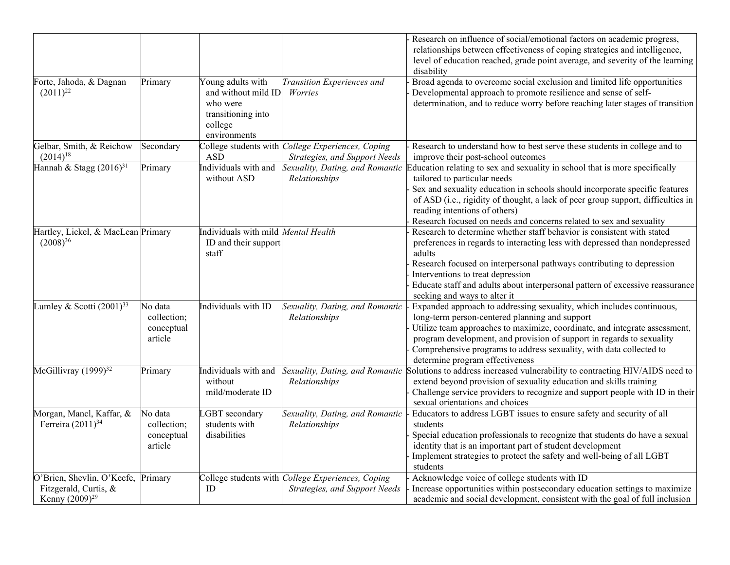|                                                                            |                                                 |                                                                                                       |                                                                                            | Research on influence of social/emotional factors on academic progress,<br>relationships between effectiveness of coping strategies and intelligence,<br>level of education reached, grade point average, and severity of the learning<br>disability                                                                                                                                           |
|----------------------------------------------------------------------------|-------------------------------------------------|-------------------------------------------------------------------------------------------------------|--------------------------------------------------------------------------------------------|------------------------------------------------------------------------------------------------------------------------------------------------------------------------------------------------------------------------------------------------------------------------------------------------------------------------------------------------------------------------------------------------|
| Forte, Jahoda, & Dagnan<br>$(2011)^{22}$                                   | Primary                                         | Young adults with<br>and without mild ID<br>who were<br>transitioning into<br>college<br>environments | Transition Experiences and<br>Worries                                                      | Broad agenda to overcome social exclusion and limited life opportunities<br>Developmental approach to promote resilience and sense of self-<br>determination, and to reduce worry before reaching later stages of transition                                                                                                                                                                   |
| Gelbar, Smith, & Reichow<br>$(2014)^{18}$                                  | Secondary                                       | <b>ASD</b>                                                                                            | College students with <i>College Experiences</i> , Coping<br>Strategies, and Support Needs | Research to understand how to best serve these students in college and to<br>improve their post-school outcomes                                                                                                                                                                                                                                                                                |
| Hannah & Stagg $(2016)^{31}$                                               | Primary                                         | Individuals with and<br>without ASD                                                                   | Sexuality, Dating, and Romantic<br>Relationships                                           | Education relating to sex and sexuality in school that is more specifically<br>tailored to particular needs<br>Sex and sexuality education in schools should incorporate specific features<br>of ASD (i.e., rigidity of thought, a lack of peer group support, difficulties in<br>reading intentions of others)<br>Research focused on needs and concerns related to sex and sexuality         |
| Hartley, Lickel, & MacLean Primary<br>$(2008)^{36}$                        |                                                 | Individuals with mild <i>Mental Health</i><br>ID and their support<br>staff                           |                                                                                            | Research to determine whether staff behavior is consistent with stated<br>preferences in regards to interacting less with depressed than nondepressed<br>adults<br>Research focused on interpersonal pathways contributing to depression<br>Interventions to treat depression<br>Educate staff and adults about interpersonal pattern of excessive reassurance<br>seeking and ways to alter it |
| Lumley & Scotti $(2001)^{33}$                                              | No data<br>collection;<br>conceptual<br>article | Individuals with ID                                                                                   | Sexuality, Dating, and Romantic<br>Relationships                                           | Expanded approach to addressing sexuality, which includes continuous,<br>long-term person-centered planning and support<br>Utilize team approaches to maximize, coordinate, and integrate assessment,<br>program development, and provision of support in regards to sexuality<br>Comprehensive programs to address sexuality, with data collected to<br>determine program effectiveness       |
| McGillivray (1999) <sup>32</sup>                                           | Primary                                         | Individuals with and<br>without<br>mild/moderate ID                                                   | Sexuality, Dating, and Romantic<br>Relationships                                           | Solutions to address increased vulnerability to contracting HIV/AIDS need to<br>extend beyond provision of sexuality education and skills training<br>Challenge service providers to recognize and support people with ID in their<br>sexual orientations and choices                                                                                                                          |
| Morgan, Mancl, Kaffar, &<br>Ferreira $(2011)^{34}$                         | No data<br>collection;<br>conceptual<br>article | GBT secondary<br>students with<br>disabilities                                                        | Sexuality, Dating, and Romantic<br>Relationships                                           | Educators to address LGBT issues to ensure safety and security of all<br>students<br>Special education professionals to recognize that students do have a sexual<br>identity that is an important part of student development<br>Implement strategies to protect the safety and well-being of all LGBT<br>students                                                                             |
| O'Brien, Shevlin, O'Keefe,<br>Fitzgerald, Curtis, &<br>Kenny $(2009)^{29}$ | Primary                                         | ID                                                                                                    | College students with <i>College Experiences</i> , Coping<br>Strategies, and Support Needs | Acknowledge voice of college students with ID<br>Increase opportunities within postsecondary education settings to maximize<br>academic and social development, consistent with the goal of full inclusion                                                                                                                                                                                     |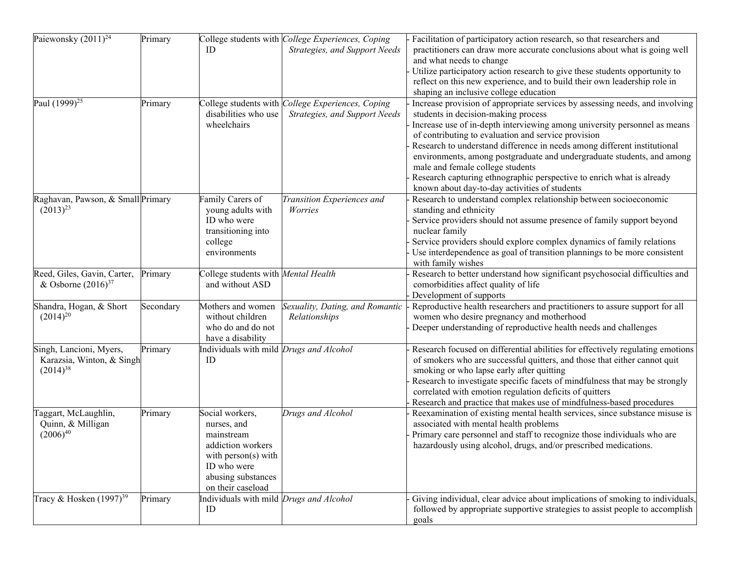| Paiewonsky $(2011)^{24}$            | Primary   |                                                | College students with College Experiences, Coping         | Facilitation of participatory action research, so that researchers and                          |
|-------------------------------------|-----------|------------------------------------------------|-----------------------------------------------------------|-------------------------------------------------------------------------------------------------|
|                                     |           | ID                                             | Strategies, and Support Needs                             | practitioners can draw more accurate conclusions about what is going well                       |
|                                     |           |                                                |                                                           | and what needs to change                                                                        |
|                                     |           |                                                |                                                           | Utilize participatory action research to give these students opportunity to                     |
|                                     |           |                                                |                                                           | reflect on this new experience, and to build their own leadership role in                       |
|                                     |           |                                                |                                                           | shaping an inclusive college education                                                          |
| Paul $(1999)^{25}$                  | Primary   |                                                | College students with <i>College Experiences</i> , Coping | Increase provision of appropriate services by assessing needs, and involving                    |
|                                     |           | disabilities who use                           | Strategies, and Support Needs                             | students in decision-making process                                                             |
|                                     |           | wheelchairs                                    |                                                           | Increase use of in-depth interviewing among university personnel as means                       |
|                                     |           |                                                |                                                           | of contributing to evaluation and service provision                                             |
|                                     |           |                                                |                                                           | Research to understand difference in needs among different institutional                        |
|                                     |           |                                                |                                                           | environments, among postgraduate and undergraduate students, and among                          |
|                                     |           |                                                |                                                           | male and female college students                                                                |
|                                     |           |                                                |                                                           | Research capturing ethnographic perspective to enrich what is already                           |
|                                     |           |                                                |                                                           | known about day-to-day activities of students                                                   |
| Raghavan, Pawson, & Small Primary   |           | Family Carers of                               | Transition Experiences and                                | Research to understand complex relationship between socioeconomic                               |
| $(2013)^{23}$                       |           | young adults with                              | Worries                                                   | standing and ethnicity                                                                          |
|                                     |           | ID who were                                    |                                                           | Service providers should not assume presence of family support beyond                           |
|                                     |           | transitioning into                             |                                                           | nuclear family                                                                                  |
|                                     |           | college                                        |                                                           | Service providers should explore complex dynamics of family relations                           |
|                                     |           | environments                                   |                                                           | Use interdependence as goal of transition plannings to be more consistent<br>with family wishes |
| Reed, Giles, Gavin, Carter,         |           | College students with Mental Health            |                                                           | Research to better understand how significant psychosocial difficulties and                     |
| & Osborne $(2016)^{37}$             | Primary   | and without ASD                                |                                                           | comorbidities affect quality of life                                                            |
|                                     |           |                                                |                                                           | Development of supports                                                                         |
| Shandra, Hogan, & Short             | Secondary | Mothers and women                              | Sexuality, Dating, and Romantic                           | Reproductive health researchers and practitioners to assure support for all                     |
| $(2014)^{20}$                       |           | without children                               | Relationships                                             | women who desire pregnancy and motherhood                                                       |
|                                     |           | who do and do not                              |                                                           | Deeper understanding of reproductive health needs and challenges                                |
|                                     |           | have a disability                              |                                                           |                                                                                                 |
| Singh, Lancioni, Myers,             | Primary   | Individuals with mild <i>Drugs and Alcohol</i> |                                                           | Research focused on differential abilities for effectively regulating emotions                  |
| Karazsia, Winton, & Singh           |           | ID                                             |                                                           | of smokers who are successful quitters, and those that either cannot quit                       |
| $(2014)^{38}$                       |           |                                                |                                                           | smoking or who lapse early after quitting                                                       |
|                                     |           |                                                |                                                           | Research to investigate specific facets of mindfulness that may be strongly                     |
|                                     |           |                                                |                                                           | correlated with emotion regulation deficits of quitters                                         |
|                                     |           |                                                |                                                           | Research and practice that makes use of mindfulness-based procedures                            |
| Taggart, McLaughlin,                | Primary   | Social workers,                                | Drugs and Alcohol                                         | Reexamination of existing mental health services, since substance misuse is                     |
| Quinn, & Milligan                   |           | nurses, and                                    |                                                           | associated with mental health problems                                                          |
| $(2006)^{40}$                       |           | mainstream                                     |                                                           | Primary care personnel and staff to recognize those individuals who are                         |
|                                     |           | addiction workers                              |                                                           | hazardously using alcohol, drugs, and/or prescribed medications.                                |
|                                     |           | with person(s) with                            |                                                           |                                                                                                 |
|                                     |           | ID who were                                    |                                                           |                                                                                                 |
|                                     |           | abusing substances                             |                                                           |                                                                                                 |
|                                     |           | on their caseload                              |                                                           |                                                                                                 |
| Tracy & Hosken (1997) <sup>39</sup> | Primary   | Individuals with mild <i>Drugs and Alcohol</i> |                                                           | Giving individual, clear advice about implications of smoking to individuals,                   |
|                                     |           | ID                                             |                                                           | followed by appropriate supportive strategies to assist people to accomplish                    |
|                                     |           |                                                |                                                           | goals                                                                                           |